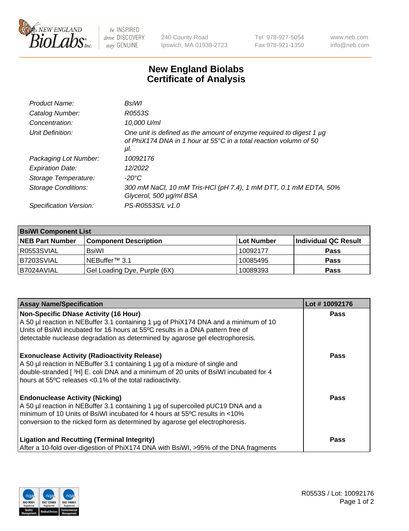

 $be$  INSPIRED drive DISCOVERY stay GENUINE

240 County Road Ipswich, MA 01938-2723 Tel 978-927-5054 Fax 978-921-1350 www.neb.com info@neb.com

## **New England Biolabs Certificate of Analysis**

| BsiWl                                                                                                                                                     |
|-----------------------------------------------------------------------------------------------------------------------------------------------------------|
| R0553S                                                                                                                                                    |
| 10,000 U/ml                                                                                                                                               |
| One unit is defined as the amount of enzyme required to digest 1 µg<br>of PhiX174 DNA in 1 hour at $55^{\circ}$ C in a total reaction volumn of 50<br>μl. |
| 10092176                                                                                                                                                  |
| 12/2022                                                                                                                                                   |
| $-20^{\circ}$ C                                                                                                                                           |
| 300 mM NaCl, 10 mM Tris-HCl (pH 7.4), 1 mM DTT, 0.1 mM EDTA, 50%<br>Glycerol, 500 µg/ml BSA                                                               |
| PS-R0553S/L v1.0                                                                                                                                          |
|                                                                                                                                                           |

| <b>BsiWI Component List</b> |                              |             |                      |  |
|-----------------------------|------------------------------|-------------|----------------------|--|
| <b>NEB Part Number</b>      | <b>Component Description</b> | ∣Lot Number | Individual QC Result |  |
| R0553SVIAL                  | BsiWl                        | 10092177    | <b>Pass</b>          |  |
| B7203SVIAL                  | NEBuffer <sup>™</sup> 3.1    | 10085495    | <b>Pass</b>          |  |
| B7024AVIAL                  | Gel Loading Dye, Purple (6X) | 10089393    | <b>Pass</b>          |  |

| <b>Assay Name/Specification</b>                                                                                                                                                                                                                                                                        | Lot #10092176 |
|--------------------------------------------------------------------------------------------------------------------------------------------------------------------------------------------------------------------------------------------------------------------------------------------------------|---------------|
| <b>Non-Specific DNase Activity (16 Hour)</b><br>A 50 µl reaction in NEBuffer 3.1 containing 1 µg of PhiX174 DNA and a minimum of 10<br>Units of BsiWI incubated for 16 hours at 55°C results in a DNA pattern free of<br>detectable nuclease degradation as determined by agarose gel electrophoresis. | <b>Pass</b>   |
| <b>Exonuclease Activity (Radioactivity Release)</b><br>A 50 µl reaction in NEBuffer 3.1 containing 1 µg of a mixture of single and<br>double-stranded [3H] E. coli DNA and a minimum of 20 units of BsiWI incubated for 4<br>hours at 55°C releases <0.1% of the total radioactivity.                  | <b>Pass</b>   |
| <b>Endonuclease Activity (Nicking)</b><br>A 50 µl reaction in NEBuffer 3.1 containing 1 µg of supercoiled pUC19 DNA and a<br>minimum of 10 Units of BsiWI incubated for 4 hours at 55°C results in <10%<br>conversion to the nicked form as determined by agarose gel electrophoresis.                 | Pass          |
| <b>Ligation and Recutting (Terminal Integrity)</b><br>After a 10-fold over-digestion of PhiX174 DNA with BsiWI, >95% of the DNA fragments                                                                                                                                                              | Pass          |